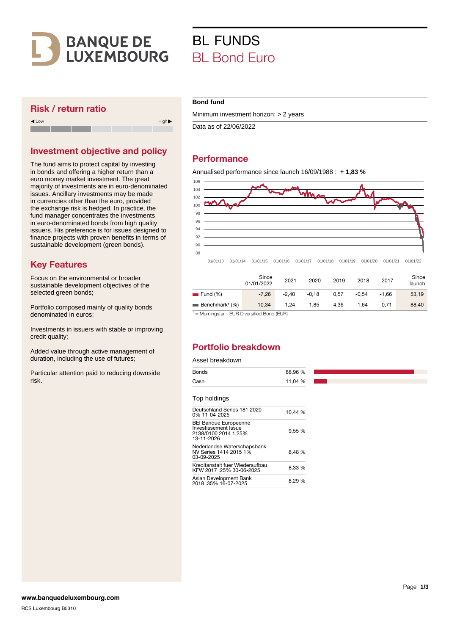

## Risk / return ratio

Low High

Investment objective and policy

The fund aims to protect capital by investing in bonds and offering a higher return than a euro money market investment. The great majority of investments are in euro-denominated issues. Ancillary investments may be made in currencies other than the euro, provided the exchange risk is hedged. In practice, the fund manager concentrates the investments in euro-denominated bonds from high quality issuers. His preference is for issues designed to finance projects with proven benefits in terms of sustainable development (green bonds).

## Key Features

Focus on the environmental or broader sustainable development objectives of the selected green bonds;

Portfolio composed mainly of quality bonds denominated in euros;

Investments in issuers with stable or improving credit quality;

Added value through active management of duration, including the use of futures;

Particular attention paid to reducing downside risk.

## **Bond fund**

Minimum investment horizon: > 2 years

Data as of 22/06/2022

BL FUNDS

**BL Bond Furo** 

# **Performance**

Annualised performance since launch 16/09/1988 : **+ 1,83 %**



01/01/13 01/01/14 01/01/15 01/01/16 01/01/17 01/01/18 01/01/19 01/01/20 01/01/21 01/01/22

|                                           | Since<br>01/01/2022 | 2021    | 2020    | 2019 | 2018    | 2017    | Since<br>launch |
|-------------------------------------------|---------------------|---------|---------|------|---------|---------|-----------------|
| $\equiv$ Fund $(\% )$                     | $-7.26$             | $-2.40$ | $-0.18$ | 0.57 | $-0.54$ | $-1.66$ | 53.19           |
| $\blacksquare$ Benchmark <sup>1</sup> (%) | $-10.34$            | $-1.24$ | 1.85    | 4.36 | $-1.64$ | 0.71    | 88,40           |

<sup>1</sup> = Morningstar - EUR Diversified Bond (EUR)

# Portfolio breakdown

#### Asset breakdown

Asian Development Bank

| Cash<br>11,04 % |
|-----------------|
|                 |

| Deutschland Series 181 2020<br>0% 11-04-2025                                               | 10.44 % |
|--------------------------------------------------------------------------------------------|---------|
| <b>BEI Banque Europeenne</b><br>Investissement Issue<br>2138/0100 2014 1.25%<br>13-11-2026 | 9,55 %  |
| Nederlandse Waterschapsbank<br>NV Series 1414 2015 1%<br>03-09-2025                        | 8.48 %  |
| Kreditanstalt fuer Wiederaufbau<br>KFW 2017 .25% 30-06-2025                                | 8.33 %  |

Asian Development Bank<br>2018 .35% 16-07-2025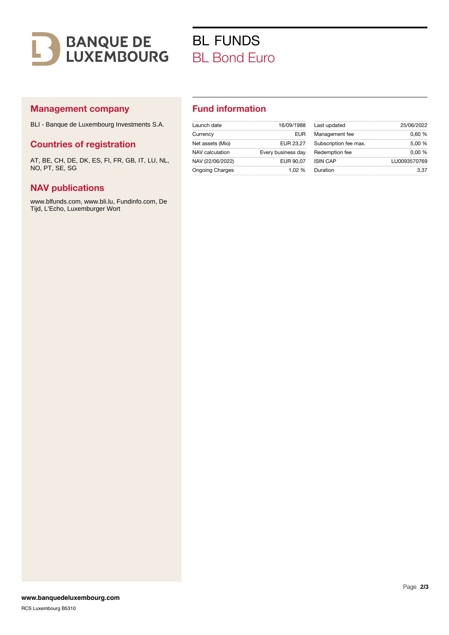

# BL FUNDS BL Bond Euro

## Management company

BLI - Banque de Luxembourg Investments S.A.

### Countries of registration

AT, BE, CH, DE, DK, ES, FI, FR, GB, IT, LU, NL, NO, PT, SE, SG

#### NAV publications

www.blfunds.com, www.bli.lu, Fundinfo.com, De Tijd, L'Echo, Luxemburger Wort

## Fund information

| Launch date            | 16/09/1988         | Last updated    |
|------------------------|--------------------|-----------------|
| Currency               | <b>EUR</b>         | Management f    |
| Net assets (Mio)       | EUR 23.27          | Subscription fe |
| NAV calculation        | Every business day | Redemption fe   |
| NAV (22/06/2022)       | EUR 90.07          | <b>ISIN CAP</b> |
| <b>Ongoing Charges</b> | 1.02 %             | Duration        |

| Subscription fee max.<br>Redemption fee | 0.00%        |
|-----------------------------------------|--------------|
| <b>ISIN CAP</b>                         | LU0093570769 |
| Duration                                | 3.37         |